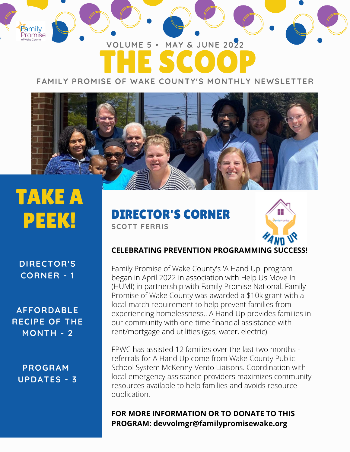## THE SCOOP **VOLUME 5 • MAY & JUNE 2022**

**FAMILY PROMISE OF WAKE COUNTY'S MONTHLY NEWSLETTER**



# TAKE A PEEK!

Family<br>Promise

**DIRECTOR'S CORNER - 1**

**AFFORDABLE RECIPE OF THE MONTH - 2**

**PROGRAM UPDATES - 3** DIRECTOR'S CORNER **SCOTT FERRIS**



#### **CELEBRATING PREVENTION PROGRAMMING SUCCESS!**

Family Promise of Wake County's 'A Hand Up' program began in April 2022 in association with Help Us Move In (HUMI) in partnership with Family Promise National. Family Promise of Wake County was awarded a \$10k grant with a local match requirement to help prevent families from experiencing homelessness.. A Hand Up provides families in our community with one-time financial assistance with rent/mortgage and utilities (gas, water, electric).

FPWC has assisted 12 families over the last two months referrals for A Hand Up come from Wake County Public School System McKenny-Vento Liaisons. Coordination with local emergency assistance providers maximizes community resources available to help families and avoids resource duplication.

#### **FOR MORE INFORMATION OR TO DONATE TO THIS PROGRAM: devvolmgr@familypromisewake.org**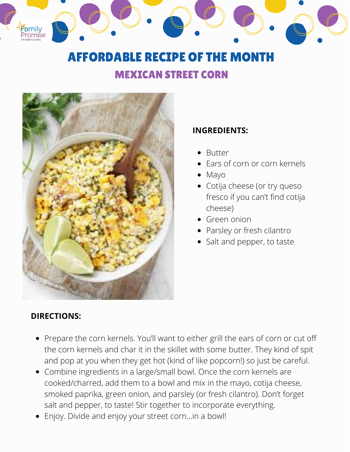## AFFORDABLE RECIPE OF THE MONTH

#### MEXICAN STREET CORN



#### **INGREDIENTS:**

- Butter
- Ears of corn or corn kernels
- Mayo
- Cotija cheese (or try queso fresco if you can't find cotija cheese)
- Green onion
- Parsley or fresh cilantro
- Salt and pepper, to taste

#### **DIRECTIONS:**

Family<br>Promise

- Prepare the corn kernels. You'll want to either grill the ears of corn or cut off the corn kernels and char it in the skillet with some butter. They kind of spit and pop at you when they get hot (kind of like popcorn!) so just be careful.
- Combine ingredients in a large/small bowl. Once the corn kernels are cooked/charred, add them to a bowl and mix in the mayo, cotija cheese, smoked paprika, green onion, and parsley (or fresh cilantro). Don't forget salt and pepper, to taste! Stir together to incorporate everything.
- Enjoy. Divide and enjoy your street corn…in a bowl!